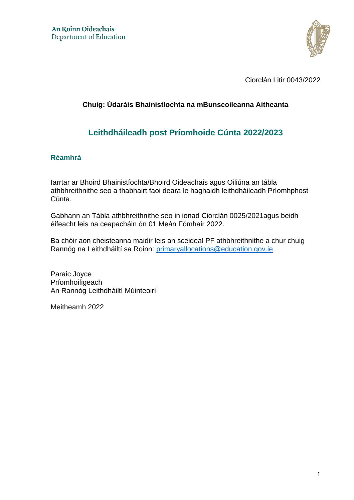

Ciorclán Litir 0043/2022

## **Chuig: Údaráis Bhainistíochta na mBunscoileanna Aitheanta**

## **Leithdháileadh post Príomhoide Cúnta 2022/2023**

## **Réamhrá**

Iarrtar ar Bhoird Bhainistíochta/Bhoird Oideachais agus Oiliúna an tábla athbhreithnithe seo a thabhairt faoi deara le haghaidh leithdháileadh Príomhphost Cúnta.

Gabhann an Tábla athbhreithnithe seo in ionad Ciorclán 0025/2021agus beidh éifeacht leis na ceapacháin ón 01 Meán Fómhair 2022.

Ba chóir aon cheisteanna maidir leis an sceideal PF athbhreithnithe a chur chuig Rannóg na Leithdháiltí sa Roinn: primaryallocations@education.gov.ie

Paraic Joyce Príomhoifigeach An Rannóg Leithdháiltí Múinteoirí

Meitheamh 2022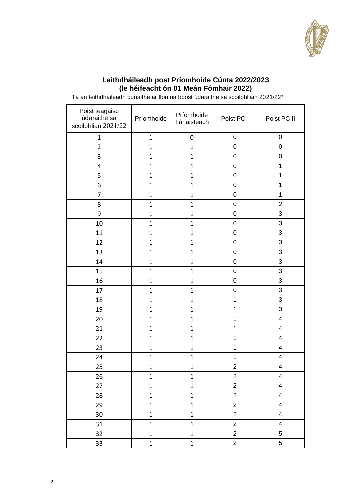

## **Leithdháileadh post Príomhoide Cúnta 2022/2023 (le héifeacht ón 01 Meán Fómhair 2022)**

| Poist teagaisc<br>údaraithe sa<br>scoilbhlian 2021/22 | Príomhoide     | Príomhoide<br>Tánaisteach | Poist PC I     | Poist PC II             |
|-------------------------------------------------------|----------------|---------------------------|----------------|-------------------------|
| $\mathbf 1$                                           | $\mathbf 1$    | $\pmb{0}$                 | $\pmb{0}$      | $\pmb{0}$               |
| $\overline{2}$                                        | $\overline{1}$ | $\mathbf{1}$              | $\pmb{0}$      | $\pmb{0}$               |
| 3                                                     | $\overline{1}$ | $\mathbf{1}$              | $\pmb{0}$      | $\pmb{0}$               |
| 4                                                     | $\mathbf{1}$   | $\mathbf{1}$              | 0              | 1                       |
| 5                                                     | $\overline{1}$ | $\mathbf{1}$              | $\pmb{0}$      | $\mathbf 1$             |
| 6                                                     | $\overline{1}$ | $\mathbf{1}$              | $\mathbf 0$    | $\mathbf 1$             |
| 7                                                     | $\overline{1}$ | $\mathbf{1}$              | $\pmb{0}$      | $\mathbf 1$             |
| 8                                                     | $\mathbf{1}$   | $\mathbf 1$               | $\mathbf 0$    | $\mathbf 2$             |
| 9                                                     | $\overline{1}$ | $\mathbf{1}$              | $\pmb{0}$      | 3                       |
| 10                                                    | $\overline{1}$ | $\mathbf{1}$              | $\mathbf 0$    | 3                       |
| 11                                                    | $\overline{1}$ | $\mathbf{1}$              | $\pmb{0}$      | $\mathfrak{S}$          |
| 12                                                    | $\mathbf{1}$   | $\mathbf{1}$              | $\pmb{0}$      | $\mathfrak{S}$          |
| 13                                                    | $\overline{1}$ | $\mathbf{1}$              | $\pmb{0}$      | 3                       |
| 14                                                    | $\overline{1}$ | $\mathbf{1}$              | $\pmb{0}$      | $\mathfrak{S}$          |
| 15                                                    | $\overline{1}$ | $\mathbf{1}$              | $\mathbf 0$    | $\mathfrak{S}$          |
| 16                                                    | $\overline{1}$ | $\mathbf{1}$              | 0              | 3                       |
| 17                                                    | $\overline{1}$ | $\mathbf 1$               | $\mathbf 0$    | $\mathfrak{S}$          |
| 18                                                    | $\overline{1}$ | $\mathbf{1}$              | $\mathbf{1}$   | 3                       |
| 19                                                    | $\mathbf{1}$   | $\mathbf 1$               | $\mathbf 1$    | 3                       |
| 20                                                    | $\mathbf{1}$   | $\mathbf{1}$              | $\mathbf 1$    | $\overline{4}$          |
| 21                                                    | $\overline{1}$ | $\mathbf 1$               | $\mathbf 1$    | $\overline{\mathbf{4}}$ |
| 22                                                    | $\overline{1}$ | $\mathbf 1$               | $\mathbf 1$    | $\overline{4}$          |
| 23                                                    | $\mathbf{1}$   | $\mathbf{1}$              | $\mathbf 1$    | $\overline{4}$          |
| 24                                                    | $\overline{1}$ | $\mathbf{1}$              | $\mathbf 1$    | $\overline{\mathbf{4}}$ |
| 25                                                    | $\mathbf 1$    | $\mathbf{1}$              | $\overline{2}$ | $\overline{\mathbf{4}}$ |
| 26                                                    | $\mathbf 1$    | $\mathbf{1}$              | $\overline{2}$ | $\overline{4}$          |
| 27                                                    | $\mathbf 1$    | $\mathbf{1}$              | $\overline{2}$ | $\overline{4}$          |
| 28                                                    | $\mathbf 1$    | $\mathbf{1}$              | $\overline{c}$ | $\overline{4}$          |
| 29                                                    | $\mathbf{1}$   | $\mathbf{1}$              | $\overline{2}$ | $\overline{4}$          |
| 30                                                    | $\mathbf{1}$   | $\mathbf{1}$              | $\overline{2}$ | $\overline{4}$          |
| 31                                                    | $\mathbf 1$    | $\mathbf{1}$              | $\overline{2}$ | $\overline{\mathbf{4}}$ |
| 32                                                    | $\mathbf{1}$   | $\mathbf{1}$              | $\overline{2}$ | 5                       |
| 33                                                    | $\mathbf 1$    | $\mathbf{1}$              | $\overline{2}$ | 5                       |

Tá an leithdháileadh bunaithe ar líon na bpost údaraithe sa scoilbhliain 2021/22\*